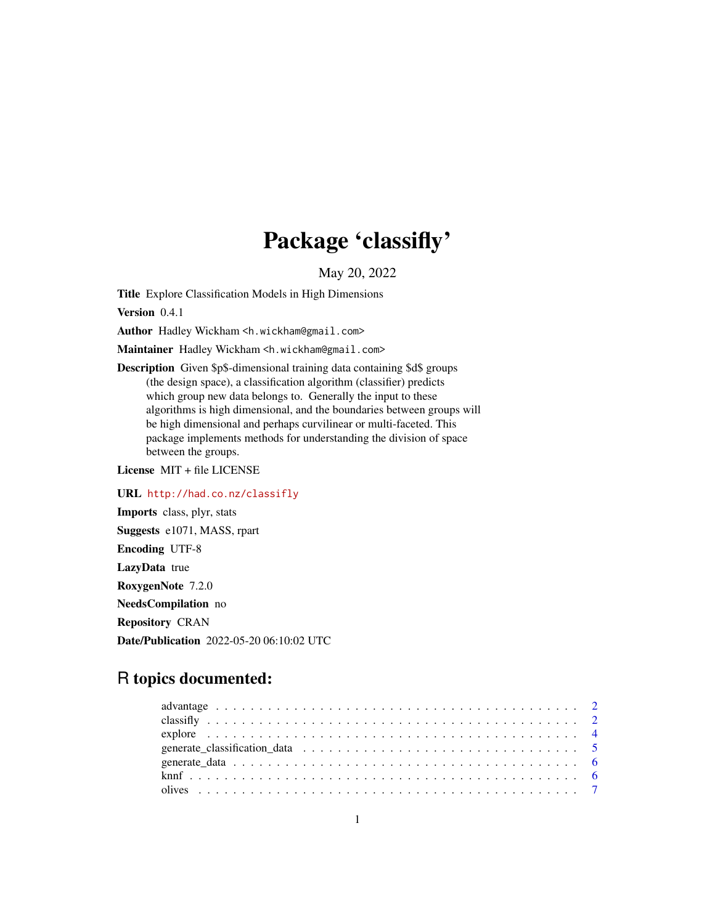## Package 'classifly'

May 20, 2022

<span id="page-0-0"></span>Title Explore Classification Models in High Dimensions

Version 0.4.1

Author Hadley Wickham <h.wickham@gmail.com>

Maintainer Hadley Wickham <h.wickham@gmail.com>

Description Given \$p\$-dimensional training data containing \$d\$ groups (the design space), a classification algorithm (classifier) predicts which group new data belongs to. Generally the input to these algorithms is high dimensional, and the boundaries between groups will be high dimensional and perhaps curvilinear or multi-faceted. This package implements methods for understanding the division of space between the groups.

License MIT + file LICENSE

URL <http://had.co.nz/classifly> Imports class, plyr, stats Suggests e1071, MASS, rpart Encoding UTF-8 LazyData true RoxygenNote 7.2.0 NeedsCompilation no Repository CRAN Date/Publication 2022-05-20 06:10:02 UTC

### R topics documented: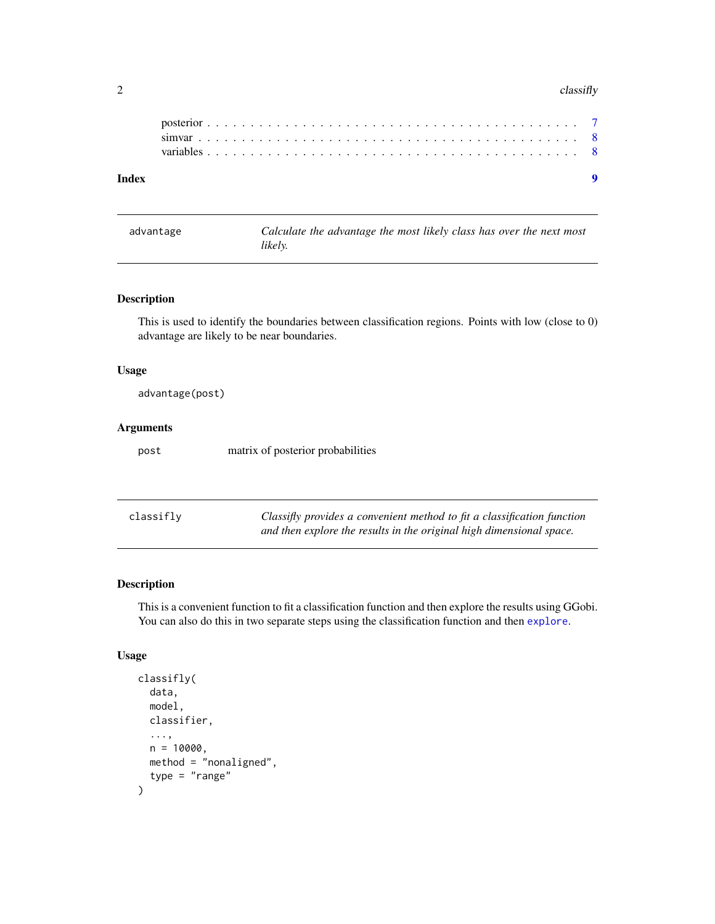#### <span id="page-1-0"></span> $2 \,$  classifly

| Index |  |  |  |  |  |  |  |  |  |  |  |  |  |  |  |  |  |  |  |  |  |  |
|-------|--|--|--|--|--|--|--|--|--|--|--|--|--|--|--|--|--|--|--|--|--|--|
|       |  |  |  |  |  |  |  |  |  |  |  |  |  |  |  |  |  |  |  |  |  |  |
|       |  |  |  |  |  |  |  |  |  |  |  |  |  |  |  |  |  |  |  |  |  |  |
|       |  |  |  |  |  |  |  |  |  |  |  |  |  |  |  |  |  |  |  |  |  |  |
|       |  |  |  |  |  |  |  |  |  |  |  |  |  |  |  |  |  |  |  |  |  |  |

<span id="page-1-1"></span>advantage *Calculate the advantage the most likely class has over the next most likely.*

#### Description

This is used to identify the boundaries between classification regions. Points with low (close to 0) advantage are likely to be near boundaries.

#### Usage

```
advantage(post)
```
#### Arguments

post matrix of posterior probabilities

| classifly | Classifly provides a convenient method to fit a classification function |
|-----------|-------------------------------------------------------------------------|
|           | and then explore the results in the original high dimensional space.    |

#### Description

This is a convenient function to fit a classification function and then explore the results using GGobi. You can also do this in two separate steps using the classification function and then [explore](#page-3-1).

#### Usage

```
classifly(
  data,
 model,
  classifier,
  ...,
  n = 10000,method = "nonaligned",
  type = "range"
)
```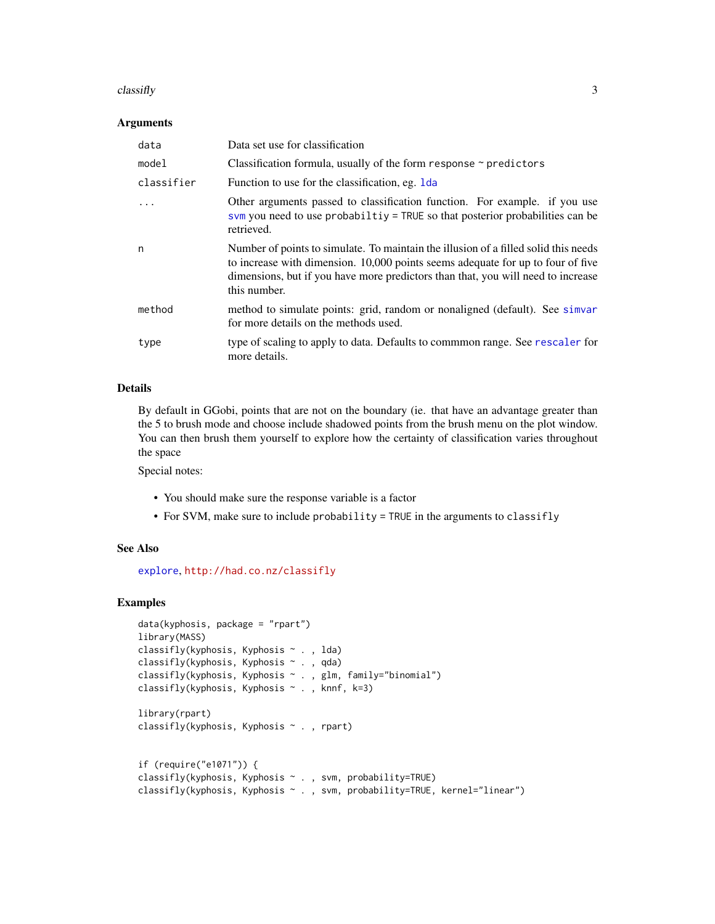#### <span id="page-2-0"></span> $\alpha$  classifly  $\beta$

#### Arguments

| data       | Data set use for classification                                                                                                                                                                                                                                            |
|------------|----------------------------------------------------------------------------------------------------------------------------------------------------------------------------------------------------------------------------------------------------------------------------|
| model      | Classification formula, usually of the form response $\sim$ predictors                                                                                                                                                                                                     |
| classifier | Function to use for the classification, eg. 1 da                                                                                                                                                                                                                           |
|            | Other arguments passed to classification function. For example. if you use<br>svm you need to use probabiltiy = TRUE so that posterior probabilities can be<br>retrieved.                                                                                                  |
| n          | Number of points to simulate. To maintain the illusion of a filled solid this needs<br>to increase with dimension. 10,000 points seems adequate for up to four of five<br>dimensions, but if you have more predictors than that, you will need to increase<br>this number. |
| method     | method to simulate points: grid, random or nonaligned (default). See simvar<br>for more details on the methods used.                                                                                                                                                       |
| type       | type of scaling to apply to data. Defaults to commmon range. See rescaler for<br>more details.                                                                                                                                                                             |

#### Details

By default in GGobi, points that are not on the boundary (ie. that have an advantage greater than the 5 to brush mode and choose include shadowed points from the brush menu on the plot window. You can then brush them yourself to explore how the certainty of classification varies throughout the space

Special notes:

- You should make sure the response variable is a factor
- For SVM, make sure to include probability = TRUE in the arguments to classifly

#### See Also

[explore](#page-3-1), <http://had.co.nz/classifly>

#### Examples

```
data(kyphosis, package = "rpart")
library(MASS)
classifly(kyphosis, Kyphosis ~ . , lda)
classifly(kyphosis, Kyphosis ~ . , qda)
classifly(kyphosis, Kyphosis ~ . , glm, family="binomial")
classifly(kyphosis, Kyphosis ~ . , knnf, k=3)
library(rpart)
classifly(kyphosis, Kyphosis ~ . , rpart)
if (require("e1071")) {
classifly(kyphosis, Kyphosis ~ . , svm, probability=TRUE)
classifly(kyphosis, Kyphosis ~ . , svm, probability=TRUE, kernel="linear")
```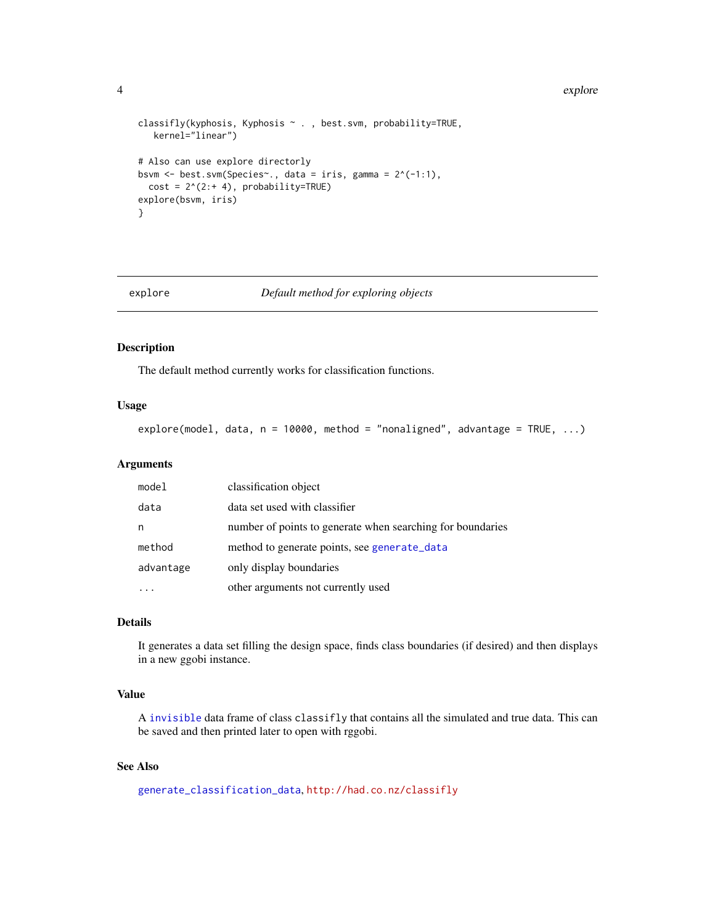#### 4 explore that the state of the state of the state of the state of the state of the state of the state of the state of the state of the state of the state of the state of the state of the state of the state of the state of

```
classifly(kyphosis, Kyphosis ~ . , best.svm, probability=TRUE,
   kernel="linear")
# Also can use explore directorly
bsvm \leq best.svm(Species\leq., data = iris, gamma = 2^(-1:1),
  cost = 2^(2++4), probability=TRUE)explore(bsvm, iris)
}
```
<span id="page-3-1"></span>

#### explore *Default method for exploring objects*

#### Description

The default method currently works for classification functions.

#### Usage

explore(model, data,  $n = 10000$ , method = "nonaligned", advantage = TRUE, ...)

#### Arguments

| model     | classification object                                      |
|-----------|------------------------------------------------------------|
| data      | data set used with classifier                              |
| n         | number of points to generate when searching for boundaries |
| method    | method to generate points, see generate_data               |
| advantage | only display boundaries                                    |
|           | other arguments not currently used                         |

#### Details

It generates a data set filling the design space, finds class boundaries (if desired) and then displays in a new ggobi instance.

#### Value

A [invisible](#page-0-0) data frame of class classifly that contains all the simulated and true data. This can be saved and then printed later to open with rggobi.

#### See Also

[generate\\_classification\\_data](#page-4-1), <http://had.co.nz/classifly>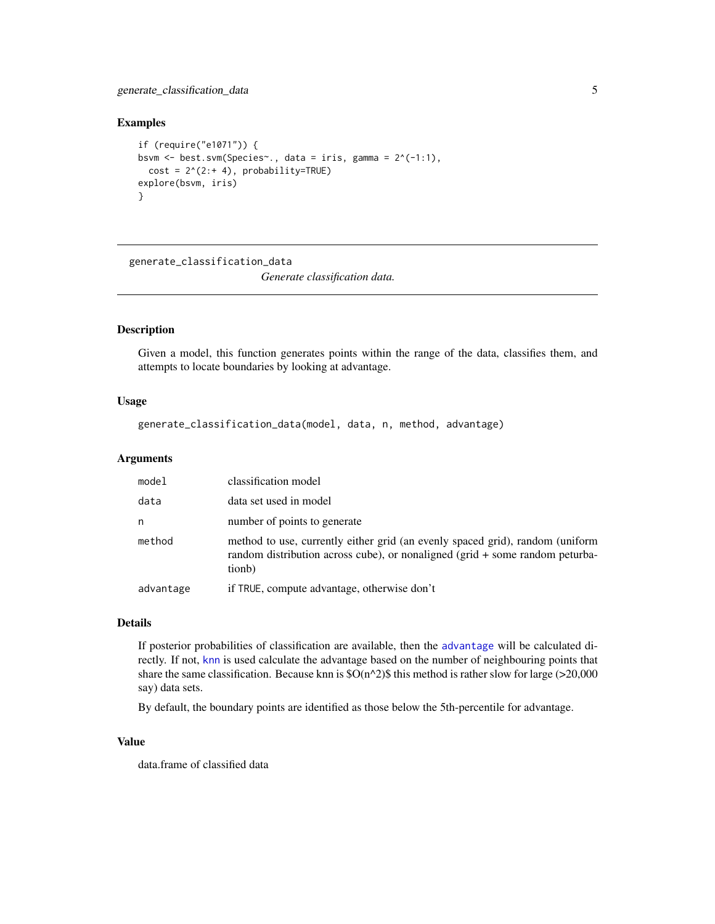<span id="page-4-0"></span>generate\_classification\_data 5

#### Examples

```
if (require("e1071")) {
bsvm <- best.svm(Species~., data = iris, gamma = 2^(-1:1),
  cost = 2^(2:+ 4), probability=TRUE)explore(bsvm, iris)
}
```
<span id="page-4-1"></span>generate\_classification\_data

*Generate classification data.*

#### Description

Given a model, this function generates points within the range of the data, classifies them, and attempts to locate boundaries by looking at advantage.

#### Usage

generate\_classification\_data(model, data, n, method, advantage)

#### Arguments

| model     | classification model                                                                                                                                                       |
|-----------|----------------------------------------------------------------------------------------------------------------------------------------------------------------------------|
| data      | data set used in model                                                                                                                                                     |
| n         | number of points to generate                                                                                                                                               |
| method    | method to use, currently either grid (an evenly spaced grid), random (uniform<br>random distribution across cube), or nonaligned ( $grid + some$ random peturba-<br>tionb) |
| advantage | if TRUE, compute advantage, otherwise don't                                                                                                                                |

#### Details

If posterior probabilities of classification are available, then the [advantage](#page-1-1) will be calculated directly. If not, [knn](#page-0-0) is used calculate the advantage based on the number of neighbouring points that share the same classification. Because knn is  $\mathcal{S}O(n^2)\$  this method is rather slow for large (>20,000 say) data sets.

By default, the boundary points are identified as those below the 5th-percentile for advantage.

#### Value

data.frame of classified data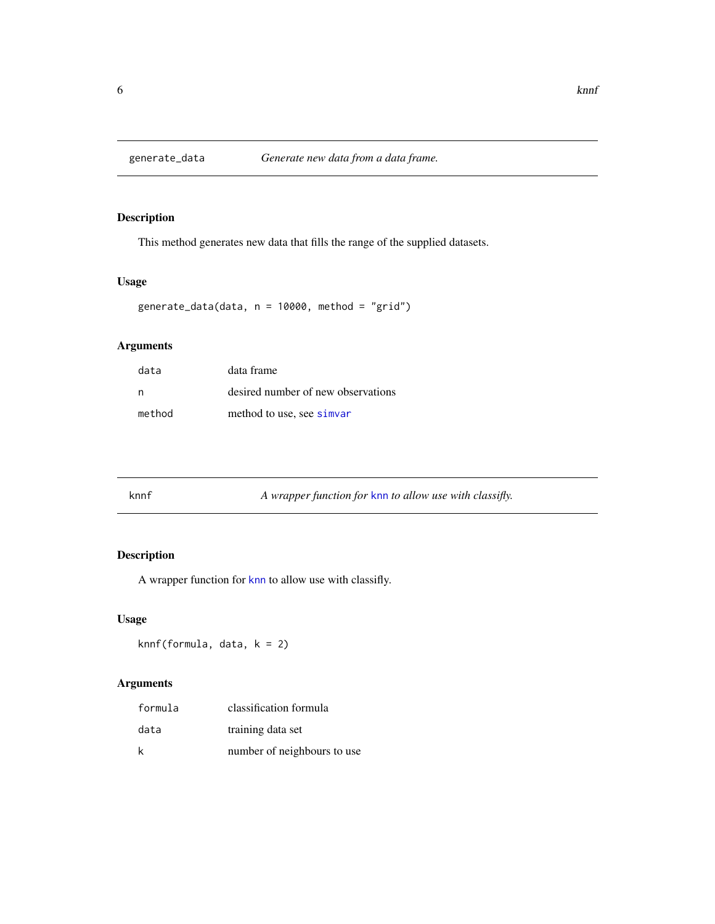<span id="page-5-1"></span><span id="page-5-0"></span>

#### Description

This method generates new data that fills the range of the supplied datasets.

#### Usage

```
generate_data(data, n = 10000, method = "grid")
```
#### Arguments

| data   | data frame                         |
|--------|------------------------------------|
| n      | desired number of new observations |
| method | method to use, see simvar          |

| knnf | A wrapper function for knn to allow use with classifly. |  |
|------|---------------------------------------------------------|--|
|------|---------------------------------------------------------|--|

#### Description

A wrapper function for [knn](#page-0-0) to allow use with classifly.

#### Usage

knnf(formula, data, k = 2)

#### Arguments

| formula | classification formula      |
|---------|-----------------------------|
| data    | training data set           |
| k       | number of neighbours to use |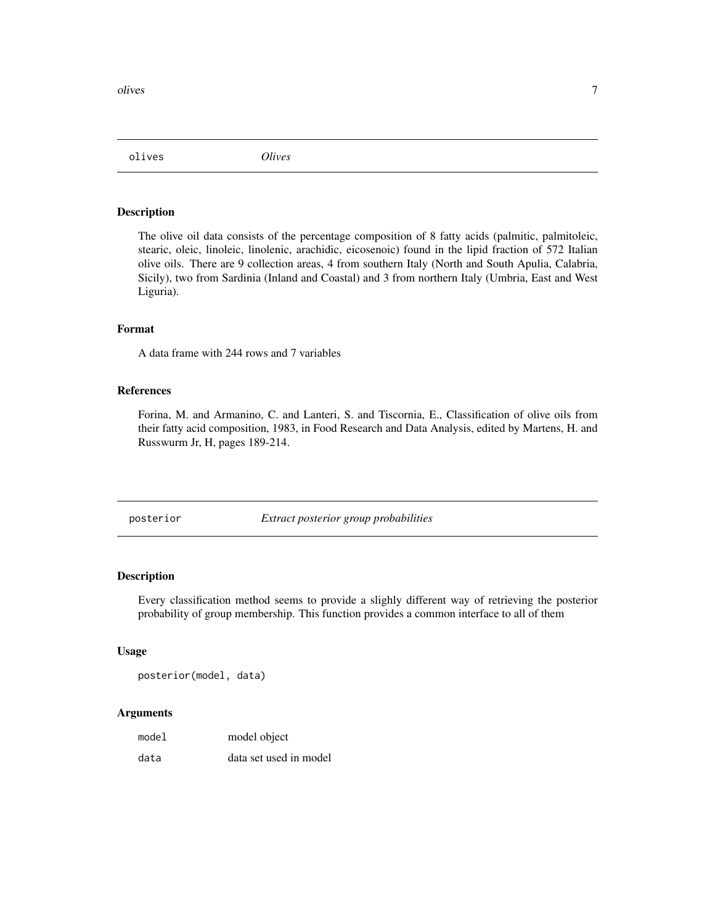<span id="page-6-0"></span>olives the contract of the contract of the contract of the contract of the contract of the contract of the contract of the contract of the contract of the contract of the contract of the contract of the contract of the con

olives *Olives*

#### Description

The olive oil data consists of the percentage composition of 8 fatty acids (palmitic, palmitoleic, stearic, oleic, linoleic, linolenic, arachidic, eicosenoic) found in the lipid fraction of 572 Italian olive oils. There are 9 collection areas, 4 from southern Italy (North and South Apulia, Calabria, Sicily), two from Sardinia (Inland and Coastal) and 3 from northern Italy (Umbria, East and West Liguria).

#### Format

A data frame with 244 rows and 7 variables

#### References

Forina, M. and Armanino, C. and Lanteri, S. and Tiscornia, E., Classification of olive oils from their fatty acid composition, 1983, in Food Research and Data Analysis, edited by Martens, H. and Russwurm Jr, H, pages 189-214.

posterior *Extract posterior group probabilities*

#### Description

Every classification method seems to provide a slighly different way of retrieving the posterior probability of group membership. This function provides a common interface to all of them

#### Usage

posterior(model, data)

#### Arguments

| model | model object           |
|-------|------------------------|
| data  | data set used in model |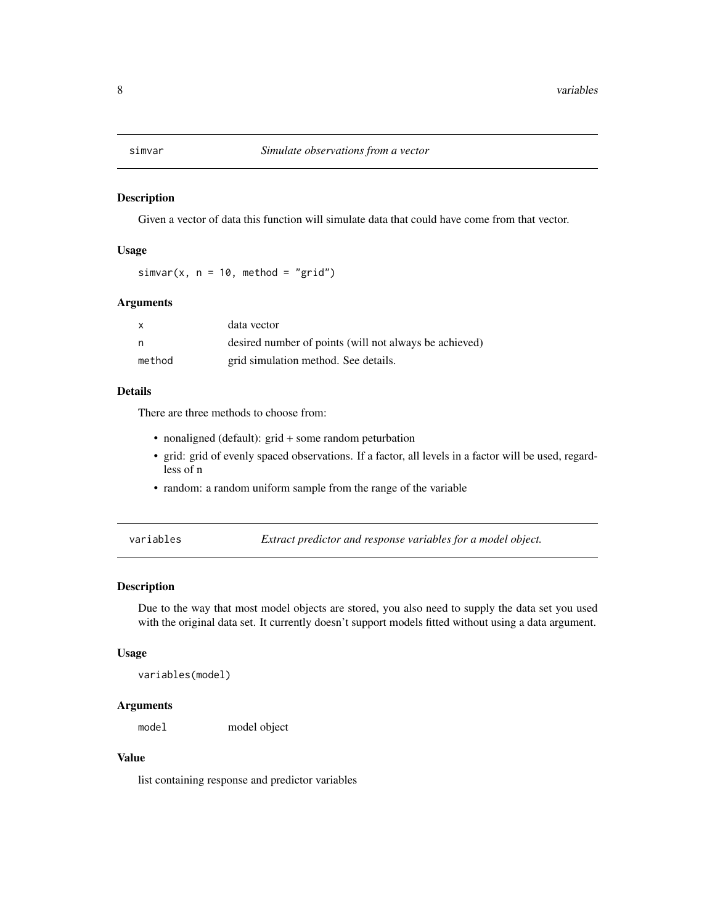<span id="page-7-1"></span><span id="page-7-0"></span>

#### Description

Given a vector of data this function will simulate data that could have come from that vector.

#### Usage

 $simar(x, n = 10, method = "grid")$ 

#### Arguments

|        | data vector                                            |
|--------|--------------------------------------------------------|
| n      | desired number of points (will not always be achieved) |
| method | grid simulation method. See details.                   |

#### Details

There are three methods to choose from:

- nonaligned (default): grid + some random peturbation
- grid: grid of evenly spaced observations. If a factor, all levels in a factor will be used, regardless of n
- random: a random uniform sample from the range of the variable

variables *Extract predictor and response variables for a model object.*

#### Description

Due to the way that most model objects are stored, you also need to supply the data set you used with the original data set. It currently doesn't support models fitted without using a data argument.

#### Usage

```
variables(model)
```
#### Arguments

model model object

#### Value

list containing response and predictor variables